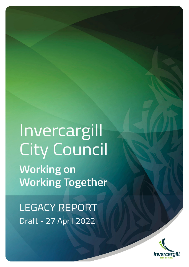Invercargill **City Council Working on Working Together** 

**LEGACY REPORT** Draft - 27 April 2022

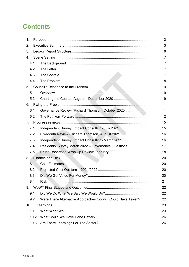# **Contents**

| 1.  |      |                                                                |  |
|-----|------|----------------------------------------------------------------|--|
| 2.  |      |                                                                |  |
| 3.  |      |                                                                |  |
| 4.  |      |                                                                |  |
| 4.1 |      |                                                                |  |
| 4.2 |      |                                                                |  |
| 4.3 |      |                                                                |  |
| 4.4 |      |                                                                |  |
| 5.  |      |                                                                |  |
| 5.1 |      |                                                                |  |
| 5.2 |      |                                                                |  |
| 6.  |      |                                                                |  |
| 6.1 |      |                                                                |  |
| 6.2 |      |                                                                |  |
| 7.  |      |                                                                |  |
| 7.1 |      |                                                                |  |
| 7.2 |      |                                                                |  |
| 7.3 |      |                                                                |  |
| 7.4 |      | Residents' Survey March 2022 - Governance Questions 17         |  |
| 7.5 |      |                                                                |  |
| 8.  |      |                                                                |  |
| 8.1 |      |                                                                |  |
| 8.2 |      |                                                                |  |
| 8.3 |      |                                                                |  |
| 8.4 |      |                                                                |  |
| 9.  |      |                                                                |  |
| 9.1 |      |                                                                |  |
| 9.2 |      | Were There Alternative Approaches Council Could Have Taken? 22 |  |
| 10. |      |                                                                |  |
|     | 10.1 |                                                                |  |
|     | 10.2 |                                                                |  |
|     | 10.3 |                                                                |  |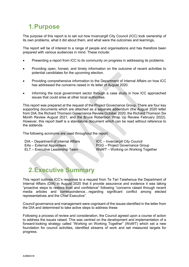# <span id="page-2-0"></span>**1.Purpose**

The purpose of this report is to set out how Invercargill City Council (ICC) took ownership of its own problems, what it did about them, and what were the outcomes and learnings**.**

The report will be of interest to a range of people and organisations and has therefore been prepared with various audiences in mind. These include:

- Presenting a report from ICC to its community on progress in addressing its problems.
- Providing open, honest, and timely information on the outcome of recent activities to potential candidates for the upcoming election.
- Providing comprehensive information to the Department of Internal Affairs on how ICC has addressed the concerns raised in its letter of August 2020.
- Informing the local government sector through a case study in how ICC approached issues that could arise at other local authorities.

This report was prepared at the request of the Project Governance Group. There are four key supporting documents which are attached as a separate addendum (the August 2020 letter from DIA; the Richard Thomson Governance Review October 2020; the Richard Thomson Six Month Review August 2021; and the Bruce Robertson Wrap Up Review February 2022). However, this report itself is a standalone document which can be read without reference to the addenda.

The following acronyms are used throughout the report:

- DIA Department of Internal Affairs ICC Invercargill City Council
- 
- 

EAs – External Appointees PGG – Project Governance Group ELT – Executive Leadership Team WoWT – Working on Working Together

# <span id="page-2-1"></span>**2.Executive Summary**

This report outlines ICC's response to a request from Te Tari Taiwhenua the Department of Internal Affairs (DIA) in August 2020 that it provide assurance and evidence it was taking "proactive steps to restore trust and confidence" following "concerns raised through recent media articles and correspondence…regarding significant conflict among elected representatives and the Chief Executive".

Council governance and management were cognisant of the issues identified in the letter from the DIA and determined to take active steps to address these.

Following a process of review and consideration, the Council agreed upon a course of action to address the issues raised. This was centred on the development and implementation of a forward-looking strategy called "Working on Working Together" (WoWT) which set a new foundation for council activities, identified streams of work and set measured targets for progress.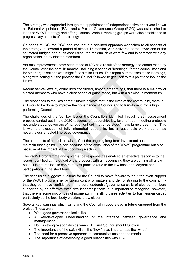The strategy was supported through the appointment of independent active observers known as External Appointees (EAs) and a Project Governance Group (PGG) was established to lead the WoWT strategy and offer guidance. Various working groups were also established to progress key aspects of the strategy.

On behalf of ICC, the PGG ensured that a disciplined approach was taken to all aspects of the strategy. It covered a period of almost 18 months, was delivered at the lower end of the estimated budget, and at its conclusion, the residual risks were few and in common with any organisation led by elected members.

Various improvements have been made at ICC as a result of the strategy and efforts made by the Council over the past 18 months, including a series of "learnings" for the council itself and for other organisations who might face similar issues. This report summarises those learnings, along with setting out the process the Council followed to get itself to this point and look to the future.

Recent self-reviews by councillors concluded, among other things, that there is a majority of elected members who have a clear sense of gains made, but with a slowing in momentum.

The responses to the Residents' Survey indicate that in the eyes of the community, there is still work to be done to improve the governance of Council and to transform it into a high performing Council.

The challenges of the four key issues the Councillors identified through a self-assessment process carried out in late 2020 (absence of leadership, low level of trust, meeting protocols not understood, governance/management split not understood) have largely been met. This is with the exception of fully integrated leadership, but a reasonable work-around has nevertheless enabled improved governance.

The comments of councillors also reflect the ongoing long-term investment needed to maintain those gains – in part because of the conclusion of the WoWT programme but also because of the impact of the upcoming election.

The WoWT programme and governance response has enabled an effective response to the issues identified at the outset of the process, with all recognising they are coming off a lowbase; it is not realistic to aspire to best practice (due to the low base and Mayoral nonparticipation) in the short term.

The conclusion suggests it is time for the Council to move forward without the overt support of the WoWT programme, by taking control of matters and demonstrating to the community that they can have confidence in the core leadership/governance skills of elected members supported by an effective executive leadership team. It is important to recognise, however, that there is some risk of loss of momentum in shifting these activities to business-as-usual, particularly as the local body elections draw closer.

Several key learnings which will stand the Council in good stead in future emerged from the project. These were:

- What good governance looks like
- A well-developed understanding of the interface between governance and management
- How a strong relationship between ELT and Council should function
- The importance of the soft skills the "how" is as important as the "what"
- The need for a proactive approach to communications and the media
- The importance of developing a good relationship with DIA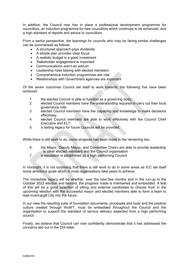In addition, the Council now has in place a professional development programme for councillors, an induction programme for new councillors which continues to be enhanced, and a high standard of reports and advice to councillors.

From a sector perspective, the learnings for councils who may be facing similar challenges can be summarised as follows:

- A structured approach pays dividends
- A simple plan provides clear focus
- A realistic budget is a good investment
- Stakeholder engagement is important
- Communications aren't an add-on
- Leadership roles belong with elected members
- Comprehensive induction programmes are vital
- Relationships with Government agencies are important

Of the seven outcomes Council set itself to work towards, the following five have been achieved:

- 1. the elected Council is able to function as a governing body;<br>2 elected Council members have the understanding required
- elected Council members have the understanding required to carry out their local governance role;
- 3. elected Council members have the capability and knowledge to make decisions effectively;
- 4. elected Council members are able to work effectively with the Council Chief Executive and ELT;
- 5. a lasting legacy for future Councils will be provided.

While there is still work to do, some progress has been made in the remaining two,

- 6. the Mayor, Deputy Mayor, and Committee Chairs are able to provide leadership to other elected members and the Council organisation
- 7. a reputation is established as a high performing Council.

In hindsight, it is not surprising that there is still work to do in some areas as ICC set itself some ambitious goals which in most organisations take years to achieve.

The immediate legacy will be whether, over the next few months and in the run-up to the October 2022 election and beyond, the progress made is maintained and embedded. A test of this will be a good selection of sitting and external candidates to choose from in the upcoming election with the successful mayor and elected members able to form a team to lead Invercargill City into the future.

In our view the resulting suite of foundation documents, processes and tools and the positive culture created through WoWT, must be embedded throughout the Council and the organisation to support the standard of service delivery expected from a high performing council.

Finally, we believe that Council can now confidently demonstrate that it has addressed the concerns laid out in the DIA letter.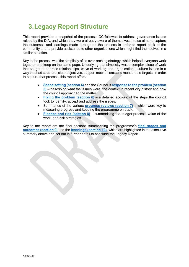# <span id="page-5-0"></span>**3.Legacy Report Structure**

This report provides a snapshot of the process ICC followed to address governance issues raised by the DIA, and which they were already aware of themselves. It also aims to capture the outcomes and learnings made throughout the process in order to report back to the community and to provide assistance to other organisations which might find themselves in a similar situation.

Key to the process was the simplicity of its over-arching strategy, which helped everyone work together and keep on the same page. Underlying that simplicity was a complex piece of work that sought to address relationships, ways of working and organisational culture issues in a way that had structure, clear objectives, support mechanisms and measurable targets. In order to capture that process, this report offers:

- **[Scene setting \(section 4\)](#page-5-1)** and the Council's **[response to the problem \(section](#page-8-0)  [5\)](#page-8-0)** – describing what the issues were, the context in recent city history and how the council approached the matter.
- **[Fixing the problem \(section 6\)](#page-10-0)** a detailed account of the steps the council took to identify, accept and address the issues.
- Summaries of the various **[progress reviews \(section 7\)](#page-14-0)** which were key to measuring progress and keeping the programme on track.
- **[Finance and risk \(section 8\)](#page-19-0)** summarising the budget process, value of the work, and risk strategies

<span id="page-5-1"></span>Key to the report are the final sections summarising the programme's **[final stages and](#page-21-0)  [outcomes \(section 9\)](#page-21-0)** and the **[learnings \(section 10\)](#page-22-0)**, which are highlighted in the executive summary above and set out in further detail to conclude the Legacy Report.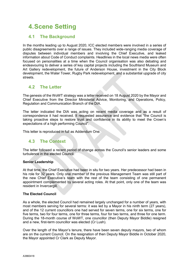# <span id="page-6-0"></span>**4.Scene Setting**

## <span id="page-6-1"></span>**4.1 The Background**

In the months leading up to August 2020, ICC elected members were involved in a series of public disagreements over a range of issues. They included wide-ranging media coverage of disputes between individual members and involving the Chief Executive, and leaked information about Code of Conduct complaints. Headlines in the local news media were often focused on personalities at a time when the Council organisation was also debating and endeavouring to deliver a series of key capital projects including the Southland Museum and Art Gallery redevelopment, the future of Anderson House, investment in the City Block development, the Water Tower, Rugby Park redevelopment, and a substantial upgrade of city streets.

## <span id="page-6-2"></span>**4.2 The Letter**

The genesis of the WoWT strategy was a letter received on 18 August 2020 by the Mayor and Chief Executive from the Director Ministerial Advice, Monitoring, and Operations, Policy, Regulation and Communication Branch of the DIA.

The letter indicated the DIA was acting on recent media coverage and as a result of correspondence it had received. It requested assurance and evidence that "the Council is taking proactive steps to restore trust and confidence in its ability to meet the Crown's expectations of a high performing Council".

This letter is reproduced in full as Addendum One.

# <span id="page-6-3"></span>**4.3 The Context**

The letter followed a recent period of change across the Council's senior leaders and some turbulence in the elected Council.

## **Senior Leadership**

At that time, the Chief Executive had been in situ for two years. Her predecessor had been in his role for 32 years. Only one member of the previous Management Team was still part of the new Chief Executive's team with the rest of the team consisting of one permanent appointment complemented by several acting roles. At that point, only one of the team was resident in Invercargill.

## **The Elected Council**

As a whole, the elected Council had remained largely unchanged for a number of years, with most members serving for several terms: it was led by a Mayor in his ninth term (27 years), and of the 12 current councillors one had served for seven terms, one for six terms, one for five terms, two for four terms, one for three terms, four for two terms, and three for one term. During the 18-month course of WoWT, one councillor (then Deputy Mayor Biddle) resigned and a new, first-term councillor was elected (Cr Lush).

Over the length of the Mayor's tenure, there have been seven deputy mayors, two of whom are on the current Council. On the resignation of then Deputy Mayor Biddle in October 2020, the Mayor appointed Cr Clark as Deputy Mayor.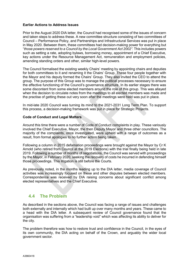### **Earlier Actions to Address Issues**

Prior to the August 2020 DIA letter, the Council had recognised some of the issues of concern and taken steps to address these. A new committee structure consisting of two committees of Council – Performance Policy, and Partnerships and Infrastructural Services was put in place in May 2020. Between them, these committees had decision-making power for everything but "*those powers reserved to a Council by the Local Government Act 2002".* This includes powers such as setting a rate, adopting bylaws, borrowing money, appointment of a Chief Executive, key actions under the Resource Management Act, remuneration and employment policies, amending standing orders and other, similar high-level powers.

The Council formalised the existing weekly Chairs' meeting by appointing chairs and deputies for both committees to it and renaming it the Chairs' Group. These four people together with the Mayor and his deputy formed the Chairs' Group. They also invited the CEO to attend the group. The purpose of this Group was to manage the political processes necessary to ensure the effective functioning of the Council's governance structure. In its earlier stages there was some discontent from some elected members around the role of this group. This was allayed when the decision to circulate notes from the meetings to all elected members was made and the practise of getting these out very soon after the meetings were held was put in place.

In mid-late 2020 Council was turning its mind to the 2021-2031 Long Term Plan. To support this process, a decision-making framework was put in place for Strategic Projects.

## **Code of Conduct and Legal Matters**

Around this time there were a number of Code of Conduct complaints in play. These variously involved the Chief Executive, Mayor, the then Deputy Mayor and three other councillors. The majority of the complaints, once investigated, were upheld with a range of outcomes as a result, from formal apologies to no further action being taken.

Following a column in 2015 defamation proceedings were brought against the Mayor by Cr K Arnold (who retired from Council at the 2019 Elections) with the trial finally being held in late 2019. Following a number of months of negotiations, the Council was served with proceedings by the Mayor, in February 2020, seeking the recovery of costs he incurred in defending himself those proceedings. This litigation is still before the Courts.

As previously noted, in the months leading up to the DIA letter, media coverage of Council activities was increasingly focused on these and other disputes between elected members. Correspondence was received by DIA raising concerns about significant conflict among elected representatives and the Chief Executive.

## <span id="page-7-0"></span>**4.4 The Problem**

As described in the sections above, the Council was facing a range of issues and challenges both externally and internally which had built up over many months and years. These came to a head with the DIA letter. A subsequent review of Council governance found that the organisation was suffering from a "leadership void" which was affecting its ability to deliver for the city.

The problem therefore was how to restore trust and confidence in the Council, in the eyes of its own community, the DIA acting on behalf of the Crown, and arguably the wider local government sector.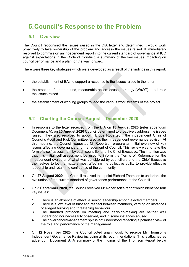# <span id="page-8-0"></span>**5.Council's Response to the Problem**

## <span id="page-8-1"></span>**5.1 Overview**

The Council recognised the issues raised in the DIA letter and determined it would work proactively to take ownership of the problem and address the issues raised. It immediately resolved to commission an independent report into the current standard of governance at ICC against expectations in the Code of Conduct, a summary of the key issues impacting on council performance and a plan for the way forward.

There were three key strategies which were developed as a result of the findings in this report:

- the establishment of EAs to support a response to the issues raised in the letter
- the creation of a time-bound, measurable action-focused strategy (WoWT) to address the issues raised
- the establishment of working groups to lead the various work streams of the project.

# <span id="page-8-2"></span>**5.2 Charting the Course: August – December 2020**

- In response to the letter received from the DIA on **18 August 2020** (refer addendum Document A), on **25 August 2020** Council determined to proactively address the issues raised. They also resolved to appoint Bruce Robertson, the independent Chair of Council's Audit and Risk Committee, also as their independent governance advisor. At this meeting, the Council requested Mr Robertson prepare an initial overview of key issues affecting governance and management of Council. This review was to take the form of a self-assessment by each councillor and the Chief Executive. The intention was that this initial self-assessment be used to inform the Terms of Reference for the independent evaluator of what was considered by councillors and the Chief Executive themselves to be the matters most affecting the collective ability to provide effective leadership and retain the confidence of the community.
- On **27 August 2020**, the Council resolved to appoint Richard Thomson to undertake the evaluation of the current standard of governance performance at the Council.
- On **3 September 2020**, the Council received Mr Robertson's report which identified four key issues:
	- 1. There is an absence of effective senior leadership among elected members
	- 2. There is a low level of trust and respect between members, verging on instances of alleged bullying and threatening behaviour
	- 3. The standard protocols on meeting and decision-making are neither well understood nor necessarily observed, and in some instances abused
	- 4. The governance/management split is not understood reflecting a polarised view of the role and performance of the management.
- On **12 November 2020**, the Council voted unanimously to receive Mr Thomson's Independent Governance Review including all its recommendations. This is attached as addendum Document B. A summary of the findings of the Thomson Report below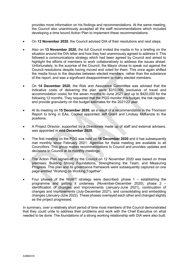provides more information on his findings and recommendations. At the same meeting, the Council also unanimously accepted all the staff recommendations which included developing a time bound Action Plan to implement these recommendations.

- On **13 November 2020**, the Council advised DIA of their resolutions and next steps.
- Also on **13 November 2020,** the full Council invited the media in for a briefing on the situation around the DIA letter and how they had unanimously agreed to address it. This followed a communications strategy which had been agreed by Council and aimed to highlight the efforts of members to work collaboratively to address the issues ahead. Unfortunately, to the surprise of the Council, the Mayor chose to speak out against the Council resolutions despite having moved and voted for them. This once again shifted the media focus to the disputes between elected members, rather than the substance of the report, and was a significant disappointment to many elected members.
- On **14 December 2020**, the Risk and Assurance Committee was advised that the indicative costs of delivering the plan were \$310,000 (exclusive of travel and accommodation costs) for the seven months to June 2021 and up to \$420,000 for the following 12 months. They requested that the PGG monitor this budget, the risk register, and provide granularity on the budget estimates for the 2021/22 year.
- At its meeting on **15 December 2020**, as a result of a recommendation in the Thomson Report to bring in EAs, Council appointed Jeff Grant and Lindsay McKenzie to the positions.
- A Project Director, supported by a Directorate made up of staff and external advisers, was appointed in **mid-December 2020.**
- The first meeting on the PGG was held on **16 December 2020** and it has subsequently met monthly since February 2021. Agendas for these meeting are available to all Councillors. This group makes recommendations to Council and provides updates and decisions to Council at its monthly meetings.
- The Action Plan signed-off by the Council on 12 November 2020 was based on three premises: Building Strong Foundations, Strengthening the Team, and Measuring Progress. This plan and its governance framework were subsequently captured on one page entitled "Working on Working Together".
- Four phases of the WoWT strategy were described: phase  $1 -$  establishing the programme and getting it underway (November-December 2020), phase 2 – identification of changes and improvements (January-June 2021), continuation of changes and improvements (July-December 2021), and consolidating and embedding changes (January-June 2022). These phases overlayed each other and changed slightly as the project progressed.

In summary, over a relatively short period of time most members of the Council demonstrated that they could unite to address their problems and work with the Chief Executive on what needed to be done. The foundations of a strong working relationship with DIA were also built.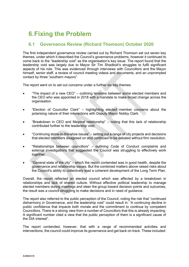# <span id="page-10-0"></span>**6.Fixing the Problem**

# <span id="page-10-1"></span>**6.1 Governance Review (Richard Thomson) October 2020**

The first independent governance review carried out by Richard Thomson set out seven key themes, under which it described the Council's governance problems, however it continued to come back to the "leadership void" as the organisation's key issue. The report found that the leadership void was largely due to Mayor Sir Tim Shadbolt's struggles to fulfil significant aspects of his role. This was evidenced through interviews with Councillors and the Mayor himself, senior staff, a review of council meeting videos and documents, and an unprompted contact by three "southern mayors".

The report went on to set out concerns under a further six key themes:

- "The impact of a new CEO" outlining tensions between some elected members and the CEO who was appointed in 2018 with a mandate to make broad change across the organisation.
- "Election of Councillor Clark" highlighting elected member concerns about the polarising nature of their interactions with Deputy Mayor Nobby Clark.
- "Breakdown in CEO and Mayoral relationship" noting that this lack of relationship contributed further to the leadership void.
- "Continuing stone-in-the-shoe issues" setting out a range of city projects and decisions that elected members disagreed on and continued to be debated without firm resolution.
- "Relationships between councillors" outlining Code of Conduct complaints and external investigations that suggested the Council was struggling to effectively work together.
- "General state of the city" which the report contended was in good health, despite the governance and relationship issues. But the combined matters above raised risks about the Council's ability to collectively lead a coherent development of the Long Term Plan.

Overall, the report reflected an elected council which was affected by a breakdown in relationships and lack of shared culture. Without effective political leadership to manage elected members during meetings and steer the group toward decision points and outcomes, the result was a council struggling to make decisions and in need of guidance.

The report also referred to the public perception of the Council, noting the risk that "continued disharmony in Governance, and the leadership void" could result in: "A continuing decline in public confidence that impacts both morale and the commitment to continue by competent Councillors. There is a strong view from a number of Councillors that this is already impacting. A significant number cited a view that the public perception of them is a significant cause of the DIA interest".

The report contended, however, that with a range of recommended activities and interventions, the council could improve its governance and get back on track. These included: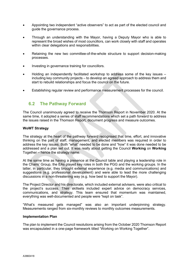- Appointing two independent "active observers" to act as part of the elected council and guide the governance process.
- Through an understanding with the Mayor, having a Deputy Mayor who is able to represent the broad wishes of most councillors, can work closely with staff and operates within clear delegations and responsibilities.
- Retaining the new two committee-of-the-whole structure to support decision-making processes.
- Investing in governance training for councillors.
- Holding an independently facilitated workshop to address some of the key issues including key community projects – to develop an agreed approach to address them and start to rebuild relationships and focus the council on the future.
- Establishing regular review and performance measurement processes for the council.

## <span id="page-11-0"></span>**6.2 The Pathway Forward**

The Council unanimously agreed to receive the Thomson Report in November 2020. At the same time, it adopted a series of staff recommendations which set a path forward to address the issues raised in the Thomson Report, document progress and measure outcomes.

## **WoWT Strategy**

The strategy at the heart of the pathway forward recognised that time, effort, and innovative thinking on the part of staff, management, and elected members was required in order to address the key issues. Both "what" needed to be done and "how" it was done needed to be addressed and a plan set out. It was really about getting the Council **Working** on **Working** Together – hence the strategy name.

At the same time as having a presence at the Council table and playing a leadership role in the Chairs' Group, the EAs played key roles in both the PGG and the working groups. In the latter, in particular, they brought external experience (e.g. media and communications) and suggestions (e.g. professional development) and were able to lead the more challenging discussions in a non-threatening way (e.g. how best to support the Mayor).

The Project Director and his directorate, which included external advisers, were also critical to the project's success. Their skillsets included expert advice on democracy services, communications, and strategy. This team ensured that momentum was maintained, everything was well-documented and people were "kept on task".

"What's measured gets managed" was also an important underpinning strategy. Measurements ranged from six-monthly reviews to monthly outcomes measurements.

#### **Implementation Plan**

The plan to implement the Council resolutions arising from the October 2020 Thomson Report was encapsulated in a one-page framework titled "Working on Working Together".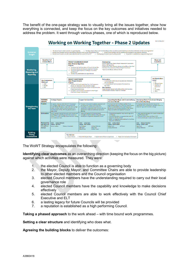The benefit of the one-page strategy was to visually bring all the issues together, show how everything is connected, and keep the focus on the key outcomes and initiatives needed to address the problem. It went through various phases, one of which is reproduced below.



The WoWT Strategy encapsulates the following:

**Identifying clear outcomes** as an overarching direction (keeping the focus on the big picture) against which activities were measured. They were:

- 1. the elected Council is able to function as a governing body
- 2. the Mayor, Deputy Mayor, and Committee Chairs are able to provide leadership to other elected members and the Council organisation
- 3. elected Council members have the understanding required to carry out their local governance role
- 4. elected Council members have the capability and knowledge to make decisions effectively
- 5. elected Council members are able to work effectively with the Council Chief Executive and ELT
- 6. a lasting legacy for future Councils will be provided
- 7. a reputation is established as a high performing Council.

**Taking a phased approach** to the work ahead – with time bound work programmes.

**Setting a clear structure** and identifying who does what.

**Agreeing the building blocks** to deliver the outcomes: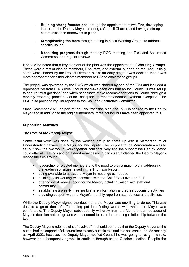- **Building strong foundations** through the appointment of two EAs, developing the role of the Deputy Mayor, creating a Council Charter, and having a strong communications framework in place
- **Strengthening the team** through putting in place Working Groups to address specific issues
- Measuring progress through monthly PGG meeting, the Risk and Assurance Committee, and regular reviews

It should be noted that a key element of the plan was the appointment of **Working Groups**. These were a mix of elected members, EAs, staff, and external support as required. Initially some were chaired by the Project Director, but at an early stage it was decided that it was more appropriate for either elected members or EAs to chair these groups

The project was governed by the **PGG** which was chaired by one of the EAs and included a representative from DIA. While it could not make decisions that bound Council, it was set up to ensure "stuff got done" and when necessary, make recommendations to Council through a monthly reporting process. Council accepted its recommendations without exception. The PGG also provided regular reports to the Risk and Assurance Committee.

Since December 2021, as part of the EAs' transition plan, the PGG is chaired by the Deputy Mayor and in addition to the original members, three councillors have been appointed to it.

## **Supporting Activities**

### *The Role of the Deputy Mayor*

Some initial work was done by the working group to come up with a Memorandum of Understanding between the Mayor and his Deputy. The purpose to the Memorandum was to set out how the two would work together collaboratively and the support the Deputy Mayor could offer at meetings and on a day-to-day basis. In particular, it clarified the Deputy Mayor's responsibilities around:

- leadership for elected members and the need to play a major role in addressing the leadership issues raised in the Thomson Report
- being available to assist the Mayor in meetings as needed
- building solid working relationships with the Chief Executive and ELT
- offering day-to-day support for the Mayor, including liaison with staff and community
- establishing a weekly meeting to share information and agree upcoming activities
- providing support with the Mayor's monthly report on attendances and activities.

While the Deputy Mayor signed the document, the Mayor was unwilling to do so. This was despite a great deal of effort being put into finding words with which the Mayor was comfortable. The Deputy Mayor subsequently withdrew from the Memorandum because of Mayor's decision not to sign and what seemed to be a deteriorating relationship between the two.

The Deputy Mayor's role has since "evolved". It should be noted that the Deputy Mayor at the outset had the support of all councillors to carry out this role and this has continued. As recently as April 2022, however, the Deputy Mayor notified Council he was going to resign his role, however he subsequently agreed to continue through to the October election. Despite the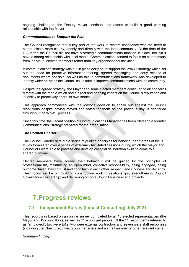ongoing challenges, the Deputy Mayor continues his efforts to build a good working relationship with the Mayor

#### *Communications to Support the Plan*

The Council recognised that a key part of the work to restore confidence was the need to communicate more clearly, openly and directly with the local community. At the time of the DIA letter, the Council did not have a strategic communications function in place, nor did it have a strong relationship with local media. Communications tended to focus on commentary from individual elected members rather than key organisational activities.

A communications strategy was put in place early on to support the WoWT strategy which set out the need for proactive information-sharing, agreed messaging and early release of documents where possible. As well as this, a communications framework was developed to identify wider activities the Council could take to improve communications with the community.

Despite the agreed strategy, the Mayor and some elected members continued to air concerns directly with the media which had a direct and ongoing impact on the Council's reputation and its ability to proactively share its own stories.

This approach commenced with the Mayor's decision to speak out against the Council resolutions despite having moved and voted for them on the previous day. It continued throughout the WoWT process.

Since this time, the vacant position of Communications Manager has been filled and a broader Communications Strategy prepared for the organisation.

#### *The Council Charter*

The Council Charter sets out a series of guiding principles for behaviour and areas of focus. It was formulated over a series of externally facilitated sessions during which the Mayor and Councillors were able to practise and develop collegial deliberation skills to come to a shared outcome.

Elected members have agreed their behaviour will be guided by the principles of professionalism, maintaining an open mind, collective responsibility, being engaged, being outcome driven, having trust and good faith in each other, respect, and kindness and decency. Their focus will be on: building constructive working relationships; strengthening Council Governance Leadership; and delivering on core Council business and projects.

# <span id="page-14-0"></span>**7.Progress reviews**

## <span id="page-14-1"></span>**7.1 Independent Survey (Impact Consulting) July 2021**

This report was based on an online survey completed by all 13 elected representatives (the Mayor and 12 councillors), as well as 11 employed people. Of the 11 respondents referred to as "employed", two were EAs, two were external contractors and seven were staff responses (including the Chief Executive, group managers and a small number of other relevant staff).

*Summary findings:*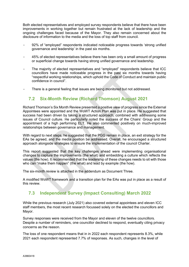Both elected representatives and employed survey respondents believe that there have been improvements in working together but remain frustrated at the lack of leadership and the ongoing challenges faced because of the Mayor. They also remain concerned about the disclosure of information to the media and the loss of top staff from council.

- 92% of "employed" respondents indicated noticeable progress towards 'strong unified governance and leadership' in the past six months.
- 45% of elected representatives believe there has been only a small amount of progress or superficial change towards having strong unified governance and leadership.
- The majority of elected representatives and "employed" respondents believe that ICC councillors have made noticeable progress in the past six months towards having "respectful working relationships, which uphold the Code of Conduct and maintain public confidence in council".
- There is a general feeling that issues are being monitored but not addressed.

# <span id="page-15-0"></span>**7.2 Six-Month Review (Richard Thomson) August 2021**

Richard Thomson's Six Month Review presented a positive view of progress since the External Appointees were appointed and the WoWT Action Plan was put in place. He suggested that success had been driven by taking a structured approach, combined with addressing some issues of Council culture. He particularly noted the success of the Chairs' Group and the appointment of a high performing ELT. He also commented positively on much-improved relationships between governance and management.

With regard to next steps, he suggested that the PGG remain in place, an exit strategy for the EAs be agreed, and the media position be addressed. Overall, he encouraged a structured approach alongside strategies to ensure the implementation of the council Charter.

This report suggested that the key challenges ahead were implementing organisational changes to capture the improvements (the what) and embedding a culture which reflects the values (the how). It recommended that the leadership of these changes needs to sit with those who can "make them happen" (the what) and lead by example (the how).

The six-month review is attached in the addendum as Document Three.

A modified WoWT framework and a transition plan for the EAs was put in place as a result of this review.

# <span id="page-15-1"></span>**7.3 Independent Survey (Impact Consulting) March 2022**

While the previous research (July 2021) also covered external appointees and eleven ICC staff members, the most recent research focussed solely on the elected the councillors and Mayor.

Survey responses were received from the Mayor and eleven of the twelve councillors. Despite a number of reminders, one councillor declined to respond, eventually citing privacy concerns as the reason.

The loss of one respondent means that in in 2022 each respondent represents 8.3%, while 2021 each respondent represented 7.7% of responses. As such, changes in the level of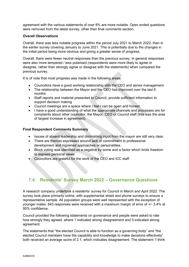agreement with the various statements of over 8% are more notable. Open ended questions were removed from the latest survey, other than final comments section.

#### **Overall Observations**

Overall, there was less notable progress within the period July 2021 to March 2022, than in the earlier survey covering January to June 2021. This is potentially due to the changes in the initial period being more obvious and giving a greater sense of progress.

Overall, there were fewer neutral responses than the previous survey. In general responses were also more tempered / less polarised (respondents were more likely to agree or disagree, rather than strongly agree or disagree with the statements) when compared the previous survey.

It is of note that most progress was made in the following areas:

- Councillors have a good working relationship with the CEO and senior management
- The relationship between the Mayor and the CEO has improved over the last 6 months
- Staff reports and material presented to Council, provide sufficient information to support decision making
- Council meetings are a space where I feel I can be open and honest
- I have a good understanding of what the appropriate channels and processes are for complaints about other councillor, the Mayor, CEO or Council staff (this was the area of largest increase in agreement).

#### **Final Respondent Comments Summary**

- Issues of absent leadership and diminishing input from the mayor are still very clear.
- There are themes expressed around lack of commitment to professional development and ingrained approaches or personalities.
- Block voting was identified as a negative by some and a factor which limits freedom to express personal views.
- Councillors are grateful for the work of the CEO and ICC staff.

# <span id="page-16-0"></span>**7.4 Residents' Survey March 2022 – Governance Questions**

A research company undertook a residents' survey for Council in March and April 2022. The survey took place primarily online, with supplemental street and phone surveys to ensure a representative sample. All population groups were well represented with the exception of younger males. 843 responses were received with a maximum margin of error of +/- 3.4% at 95% confidence.

Council provided the following statements on governance and people were asked to rate how strongly they agreed, where 1 indicated strong disagreement and 5 indicated strong agreement.

The statements that "the elected Council is able to function as a governing body" and "the elected Council members have the capability and knowledge to make decisions effectively" both received an average score of 2.1, which indicates disagreement. The statement "I think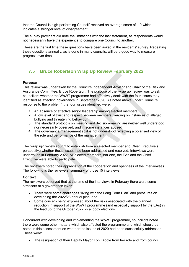that the Council is high-performing Council" received an average score of 1.9 which indicates a stronger level of disagreement.

The survey providers did note the limitations with the last statement, as respondents would not necessarily have the experience to compare one Council to another.

These are the first time these questions have been asked in the residents' survey. Repeating these questions annually, as is done in many councils, will be a good way to measure progress over time.

# <span id="page-17-0"></span>**7.5 Bruce Robertson Wrap Up Review February 2022**

## **Purpose**

This review was undertaken by the Council's Independent Advisor and Chair of the Risk and Assurance Committee, Bruce Robertson. The purpose of the 'wrap up' review was to ask councillors whether the WoWT programme had effectively dealt with the four issues they identified as affecting governance in September 2020. As noted above under "Council's response to the problem", the four issues identified were:

- 1. An absence of effective senior leadership among elected members
- 2. A low level of trust and respect between members, verging on instances of alleged bullying and threatening behaviour
- 3. The standard protocols on meeting and decision-making are neither well understood nor necessarily observed, and in some instances abused
- 4. The governance/management split is not understood reflecting a polarised view of the role and performance of the management

The 'wrap up' review sought to establish from an elected member and Chief Executive's perspective whether these issues had been addressed and resolved. Interviews were undertaken in February 2022. All elected members, bar one, the EAs and the Chief Executive were able to participate.

The reviewers noted their appreciation at the cooperation and openness of the interviewees. The following is the reviewers' summary of those 15 interviews

## **Context**

The reviewers observed that at the time of the interviews in February there were some stressors at a governance level:

- There were some challenges "living with the Long Term Plan" and pressures on developing the 2022/23 annual plan; and
- Some concern being expressed about the risks associated with the planned reduction in support of the WoWT programme (and especially support by the EAs) in the lead up to the October 2022 local body elections.

Concurrent with developing and implementing the WoWT programme, councillors noted there were some other matters which also affected the programme and which should be noted in this assessment on whether the issues of 2020 had been successfully addressed. These were:

• The resignation of then Deputy Mayor Toni Biddle from her role and from council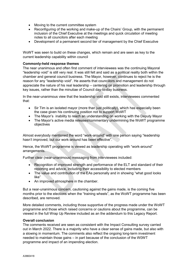- Moving to the current committee system
- Reconfiguring of the working and make-up of the Chairs' Group, with the permanent inclusion of the Chief Executive at the meetings and quick circulation of meeting notes to all councilors after each meeting
- Development of a permanent second tier of management by the Chief Executive

WoWT was seen to build on these changes, which remain and are seen as key to the current leadership capability within council

## **Commonly-held response themes**

The near unanimous and often first comment of interviewees was the continuing Mayoral "leadership void" is still very real. It was still felt and said as a political reality both within the chamber and general council business. The Mayor, however, continues to reject he is the reason for any "leadership void". He asserts that councillors and management do not appreciate the nature of his real leadership – centering on promotion and leadership through key issues, rather than the minutiae of Council day-to-day business.

In the near-unanimous view that the leadership void still exists, interviewees commented that:

- Sir Tim is an isolated mayor (more than just politically), which has especially been the case given his continuing position not to support WoWT
- The Mayor's inability to reach an understanding on working with the Deputy Mayor
- The Mayor's active media releases/commentary undermining the WoWT programme objectives

Almost everybody mentioned the word "work-around" with one person saying "leadership hasn't improved, but our work-around has been effective".

Hence, the WoWT programme is viewed as leadership operating with "work-around" arrangements.

Further clear (near-unanimous) messaging from interviewees included:

- Recognition of improved strength and performance of the ELT and standard of their reporting and advice, including their accessibility to elected members
- The value and contribution of the EAs personally and in showing "what good looks like"
- An improved atmosphere in the chamber.

But a near-unanimous concern, cautioning against the gains made, is the coming five months prior to the elections when the "training wheels", as the WoWT programme has been described, are removed.

More detailed comments, including those supportive of the progress made under the WoWT programme and those which raised concerns or cautions about the programme, can be viewed in the full Wrap Up Review included as an the addendum to this Legacy Report.

## **Overall conclusion**

The comments received are seen as consistent with the Impact Consulting survey carried out in March 2022. There is a majority who have a clear sense of gains made, but also with a slowing in momentum. The comments also reflect the ongoing long-term investment needed to maintain those gains – in part because of the conclusion of the W0WT programme and impact of an impending election.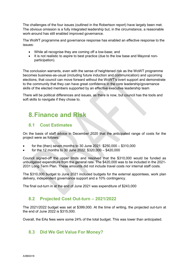The challenges of the four issues (outlined in the Robertson report) have largely been met. The obvious omission is a fully integrated leadership but, in the circumstance, a reasonable work-around has still enabled improved governance.

The WoWT programme and governance response has enabled an effective response to the issues:

- While all recognise they are coming off a low-base; and
- It is not realistic to aspire to best practice (due to the low base and Mayoral nonparticipation).

The conclusion warrants, even with the sense of heightened risk as the WoWT programme becomes business-as-usual (including future induction and communication) and upcoming elections, that council can move forward without the WoWT's overt support and demonstrate to the community that they can have great confidence in the core leadership/governance skills of the elected members supported by an effective executive leadership team

There will be political differences and issues, as there is now, but council has the tools and soft skills to navigate if they chose to.

# <span id="page-19-0"></span>**8.Finance and Risk**

# <span id="page-19-1"></span>**8.1 Cost Estimates**

On the basis of staff advice in December 2020 that the anticipated range of costs for the project were as follows:

- for the (then) seven months to 30 June 2021: \$250,000 \$310,000
- for the 12 months to 30 June 2022: \$320,000 \$420,000

Council signed-off the upper limits and resolved that the \$310,000 would be funded as unbudgeted expenditure from the general rate. The \$420,000 was to be included in the 2021- 2031 Long Term Plan. These amounts did not include travel costs nor internal staff costs.

The \$310,000 budget to June 2021 included budgets for the external appointees, work plan delivery, independent governance support and a 10% contingency.

The final out-turn in at the end of June 2021 was expenditure of \$243,000

## <span id="page-19-2"></span>**8.2 Projected Cost Out-turn – 2021/2022**

The 2021/2022 budget was set at \$399,000. At the time of writing, the projected out-turn at the end of June 2022 is \$315,000.

Overall, the EAs fees were some 24% of the total budget. This was lower than anticipated.

## <span id="page-19-3"></span>**8.3 Did We Get Value For Money?**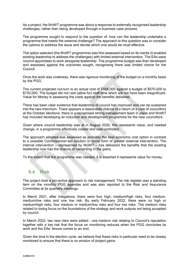As a project, the WoWT programme was about a response to externally recognised leadership challenges, rather than being developed through a business case process.

The programme sought to respond to the question of: how can the leadership undertake a programme that meets the external challenge? The approach to this question was to consider the options to address the issue and decide which one would be most effective.

The option selected (the WoWT programme) was first assessed based on its merits (it enabled existing leadership to address the challenges) with limited external intervention. The EAs were council-appointees to work alongside leadership. The programme budget was then developed and assessed against the outcomes sought, recognising there was limited choice for the Council.

Once the work was underway, there was rigorous monitoring of the budget on a monthly basis by the PGG.

The current projected out-turn is an actual cost of \$558,000 against a budget of \$570,000 to \$730,000. The budget did not cost (allow for) staff time which will not have been insignificant. Value for Money is assessing the costs against the benefits delivered.

There has been clear evidence that leadership of council has improved and can be sustained into the new triennium. There appears a reasonable chance of a return of a core of councillors at the October elections, there is a recognised strong management team in place and WoWT has included developing an induction and development programme for the new councillors.

Given where council leadership was at in August 2020, this represents value, and needed change, in a programme effectively costed and cost-controlled.

The approach adopted was assessed as probably the best economic cost option in contrast to a possible Commissioner-led solution or some form of greater external intervention. The internal intervention – represented by WoWT – has delivered the benefits that the existing leadership now has the chance of cementing in the gains.

To the extent that the programme was needed, it is asserted it represents value for money.

## <span id="page-20-0"></span>**8.4 Risk**

The project took a pro-active approach to risk management. The risk register was a standing item on the monthly PGG agendas and was also reported to the Risk and Assurance Committee at its quarterly meetings.

In March 2021, after mitigations, there were four high, medium/high risks, four medium, medium/low risks and one low risk. By early February 2022, there were no high or medium/high risks, four medium or medium/low risks and four low risks. The medium risks related to losing focus on the foundations of the strategy and work outputs not being accepted by council.

In March 2022, two new risks were added - one medium risk relating to Council's reputation together with a low risk that the focus on monitoring reduces when the PGG concludes its work and the EAs' tenure comes to an end.

Given the time in the election cycle, we believe that these risks in particular need to be closely monitored to ensure that there is no erosion of project gains.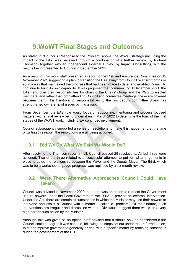# <span id="page-21-0"></span>**9.WoWT Final Stages and Outcomes**

As stated in "Council's Response to the Problem" above, the WoWT strategy (including the impact of the EAs) was reviewed through a combination of a further review (by Richard Thomson) together with an independent external survey (by Impact Consulting), with the results being presented to Council in September 2021.

As a result of this work, staff presented a report to the Risk and Assurance Committee on 15 November 2021 suggesting a plan to transition the EAs away from Council over six months or so in a way that maintained the progress that had been made to date, and enabled Council to continue to build its own capability. It was proposed that commencing 1 December 2021, the EAs hand over their responsibilities for chairing the Chairs' Group and the PGG to elected members, and rather than both attending Council and committee meetings, these are covered between them. This handover of responsibilities to the two deputy committee chairs has strengthened ownership of issues by this group.

From December, the EAs' role would focus on supporting, mentoring and process focused matters, with a final review being undertaken in March 2022 to determine the form of the final stages of the WoWT work, including EA continued involvement.

Council subsequently supported a series of resolutions to make this happen and at the time of writing this report, the resolutions are all being actioned.

## <span id="page-21-1"></span>**9.1 Did We Do What We Said We Would Do?**

After receiving the Thomson report in full, Council passed 28 resolutions. All but three were actioned. Two of the three related to unsuccessful attempts to put formal arrangements in place to guide the relationship between the Mayor and the Deputy Mayor. The third, which was to be a workshop to gauge progress, was replaced by a six-month review.

## <span id="page-21-2"></span>**9.2 Were There Alternative Approaches Council Could Have Taken?**

Council was advised in November 2020 that there was an option to request the Government use its powers under the Local Government Act 2002 to provide an external intervention. Under the Act, there are certain circumstances in which the Minister may use their powers to intervene and assist a Council with a matter – called a "problem". Of their nature, such interventions are irregular and discussion with the DIA would suggest there would be a very high bar for such action by the Minister.

Although this was given as an option, staff advised that it should only be considered if the Council could not agree it was capable, following the steps set out under the preferred option, to either improve governance generally or deal with a specific matter by reaching consensus during the development of the LTP.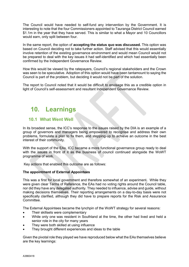The Council would have needed to self-fund any intervention by the Government. It is interesting to note that the four Commissioners appointed to Tauranga District Council earned \$1.1m in the year that they have served. This is similar to what a Mayor and 10 Councillors would earn, only split between four.

In the same report, the option of **accepting the status quo was discussed.** This option was based on Council deciding not to take further action. Staff advised that this would essentially involve retention of the existing governance environment and would mean Council would not be prepared to deal with the key issues it had self-identified and which had essentially been confirmed by the Independent Governance Review.

How this would be viewed by the ratepayers, Council's regional stakeholders and the Crown was seen to be speculative. Adoption of this option would have been tantamount to saying the Council is part of the problem, but deciding it would not be part of the solution.

The report to Council noted that it would be difficult to envisage this as a credible option in light of Council's self-assessment and resultant Independent Governance Review.

# <span id="page-22-0"></span>**10. Learnings**

## <span id="page-22-1"></span>**10.1 What Went Well**

In its broadest sense, the ICC's response to the issues raised by the DIA is an example of a group of governors and managers being empowered to recognise and address their own problems, formulate a plan to fix them, and stepping-up to achieve an outcome in the best interest of their community.

With the support of the EAs, ICC became a more functional governance group ready to deal with the issues in front of it as the business of council continued alongside the WoWT programme of work.

Key actions that enabled this outcome are as follows:

## **The appointment of External Appointees**

This was a first for local government and therefore somewhat of an experiment**.** While they were given clear Terms of Reference, the EAs had no voting rights around the Council table, nor did they have any delegated authority. They needed to influence, advise and guide, without making decisions themselves. Their reporting arrangements on a day-to-day basis were not specifically clarified, although they did have to prepare reports for the Risk and Assurance **Committee** 

The External Appointees became the lynchpin of the WoWT strategy for several reasons:

- Their skillsets were complementary
- While only one was resident in Southland at the time, the other had lived and held a senior role in the city for many years
- They were both skilled at using influence
- They brought different experiences and ideas to the table

Given the pivotal role they played we have reproduced below what the EAs themselves believe are the key learnings: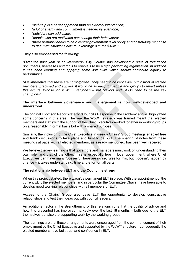- *"self-help is a better approach than an external intervention;*
- *"a lot of energy and commitment is needed by everyone;*
- *"outsiders can add value;*
- *"people who are motivated can change their behaviours;*
- *"there probably needs to be a central government level policy and/or statutory response to deal with situations akin to Invercargill's in the future."*

They also emphasised the following:

*"Over the past year or so Invercargill City Council has developed a suite of foundation documents, processes and tools to enable it to be a high performing organisation. In addition it has been learning and applying some soft skills which should contribute equally to performance.* 

*"It is imperative that these are not forgotten. They need to be kept alive, put in front of elected members, practised and applied. It would be so easy for people and groups to revert unless this occurs. Whose job is it? Everyone's – but Mayors and CEOs need to be the key champions".*

#### **The interface between governance and management is now well-developed and understood**

The original Thomson Report (refer to "Council's Response to the Problem" above) highlighted some concerns in this area. The way the WoWT strategy was framed meant that elected members and staff (with the support of the Chief Executive) worked together in working groups on a reasonably informal basis but with a shared purpose.

Similarly, the inclusion of the Chief Executive in weekly Chairs' Group meetings enabled free and frank discussions to take place and trust to be built. The sharing of notes from these meetings at pace with all elected members, as already mentioned, has been well received.

We believe the key learning is that governors and managers must work on understanding their own role, and that of the other. This is especially true in local government, where Chief Executives can have many "bosses". There are no set rules for this, but it doesn't happen by chance – it takes understanding, time and effort on all parts.

#### **The relationship between ELT and the Council is strong**

When this project started, there wasn't a permanent ELT in place. With the appointment of the current ELT, the elected members, and in particular the Committee Chairs, have been able to develop good working relationships with all members of ELT.

Access to the Chairs' Group also gave ELT the opportunity to develop constructive relationships and test their ideas out with council leaders.

An additional factor in the strengthening of this relationship is that the quality of advice and how it is presented has improved markedly over the last 18 months – both due to the ELT themselves but also the supporting work by the working groups.

The learnings are that these arrangements were encouraged from the commencement of their employment by the Chief Executive and supported by the WoWT structure – consequently the elected members have built trust and confidence in ELT.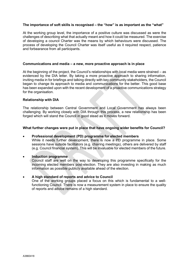### **The importance of soft skills is recognised – the "how" is as important as the "what"**

At the working group level, the importance of a positive culture was discussed as were the challenges of describing what that actually meant and how it could be measured. The exercise of developing a council Charter was the means by which behaviours were discussed. The process of developing the Council Charter was itself useful as it required respect, patience and forbearance from all participants.

#### **Communications and media – a new, more proactive approach is in place**

At the beginning of the project, the Council's relationships with local media were strained – as evidenced by the DIA letter. By taking a more proactive approach to sharing information, inviting media in for briefings and talking directly with key community stakeholders, the Council began to change its approach to media and communications for the better. This good base has been expanded upon with the recent development of a proactive communications strategy for the organisation.

#### **Relationship with DIA**

The relationship between Central Government and Local Government has always been challenging. By working closely with DIA through this process, a new relationship has been forged which will stand the Council in good stead as it moves forward.

#### **What further changes were put in place that have ongoing wider benefits for Council?**

#### • **Professional development (PD) programme for elected members**

While it needs further development, there is now a PD programme in place. Some sessions have outside facilitators (e.g. chairing meetings), others are delivered by staff (e.g. Council financial system). This will be invaluable for elected members of the future.

#### • **Induction programme**

Council staff are well on the way to developing this programme specifically for the incoming elected members post-election. They are also investing in making as much information as possible publicly available ahead of the election.

#### • **A high standard of reports and advice to Council**

One of the working groups placed a focus on this which is fundamental to a wellfunctioning Council. There is now a measurement system in place to ensure the quality of reports and advice remains of a high standard.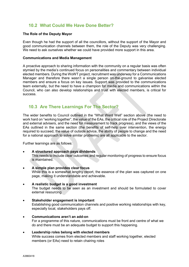# <span id="page-25-0"></span>**10.2 What Could We Have Done Better?**

#### **The Role of the Deputy Mayor**

Even though he had the support of all the councillors, without the support of the Mayor and good communication channels between them, the role of the Deputy was very challenging. We need to ask ourselves whether we could have provided more support in this area.

#### **Communications and Media Management**

A proactive approach to sharing information with the community on a regular basis was often stymied by the media's continued focus on personalities and commentary between individual elected members. During the WoWT project, recruitment was underway for a Communications Manager and therefore there wasn't a single person on-the-ground to galvanise elected members and ensure a focus on key issues. Support was provided to the communications team externally, but the need to have a champion for media and communications within the Council, who can also develop relationships and trust with elected members, is critical for success.

## <span id="page-25-1"></span>**10.3 Are There Learnings For The Sector?**

The wider benefits to Council outlined in the "What Went Well" section above (the need to work hard on "working together", the value of the EAs, the critical role of the Project Directorate and external advisers, and the need for measurement to track progress), and the views of the EAs outlined in the same section (the benefits of self-help over intervention, the energy required to succeed, the value of outside advice, the ability of people to change and the need for a national approach to solve similar problems) are all applicable to the sector.

Further learnings are as follows:

## • **A structured approach pays dividends**

This needs to include clear outcomes and regular monitoring of progress to ensure focus is maintained.

- **A simple plan provides clear focus** While this is a somewhat lengthy report, the essence of the plan was captured on one page, making it understandable and achievable.
- **A realistic budget is a good investment** The budget needs to be seen as an investment and should be formulated to cover external resourcing
- **Stakeholder engagement is important** Establishing good communication channels and positive working relationships with key, especially local, stakeholders pays off.
- **Communications aren't an add-on** For a programme of this nature, communications must be front and centre of what we do and there must be an adequate budget to support this happening.

## • **Leadership roles belong with elected members**

While success comes from elected members and staff working together, elected members (or EAs) need to retain chairing roles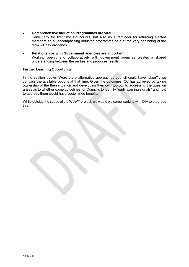- **Comprehensive Induction Programmes are vital** Particularly for first time Councillors, but also as a reminder for returning elected members an all encompassing inducton programme held at the very beginning of the term will pay dividends
- **Relationships with Government agencies are important** Working openly and collaboratively with government agencies creates a shared understanding between the parties and produces results.

## **Further Learning Opportunity**

In the section above "Were there alternative approaches council could have taken?", we canvass the available options at that time. Given the outcomes ICC has achieved by taking ownership of the then situation and developing their own toolbox to address it, the question arises as to whether some guidelines for Councils to identify "early warning signals" and how to address them would have sector wide benefits.

While outside the scope of the WoWT project, we would welcome working with DIA to progress this.